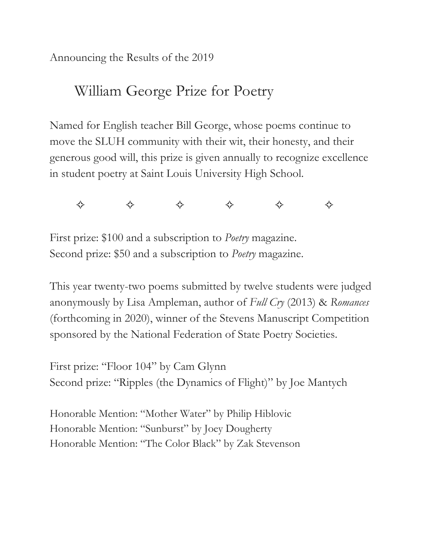Announcing the Results of the 2019

# William George Prize for Poetry

Named for English teacher Bill George, whose poems continue to move the SLUH community with their wit, their honesty, and their generous good will, this prize is given annually to recognize excellence in student poetry at Saint Louis University High School.



First prize: \$100 and a subscription to *Poetry* magazine. Second prize: \$50 and a subscription to *Poetry* magazine.

This year twenty-two poems submitted by twelve students were judged anonymously by Lisa Ampleman, author of *Full Cry* (2013) & *Romances* (forthcoming in 2020), winner of the Stevens Manuscript Competition sponsored by the National Federation of State Poetry Societies.

First prize: "Floor 104" by Cam Glynn Second prize: "Ripples (the Dynamics of Flight)" by Joe Mantych

Honorable Mention: "Mother Water" by Philip Hiblovic Honorable Mention: "Sunburst" by Joey Dougherty Honorable Mention: "The Color Black" by Zak Stevenson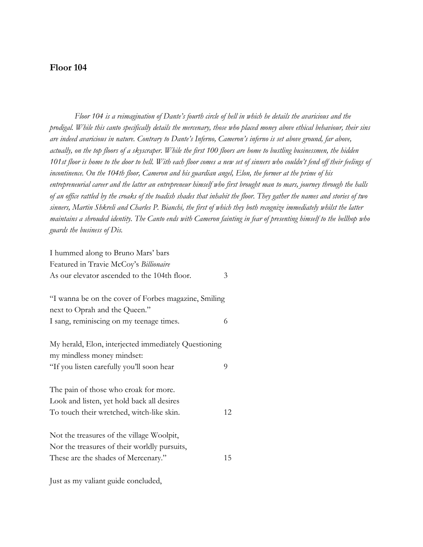### **Floor 104**

*Floor 104 is a reimagination of Dante's fourth circle of hell in which he details the avaricious and the prodigal. While this canto specifically details the mercenary, those who placed money above ethical behaviour, their sins are indeed avaricious in nature. Contrary to Dante's Inferno, Cameron's inferno is set above ground, far above, actually, on the top floors of a skyscraper. While the first 100 floors are home to bustling businessmen, the hidden 101st floor is home to the door to hell. With each floor comes a new set of sinners who couldn't fend off their feelings of incontinence. On the 104th floor, Cameron and his guardian angel, Elon, the former at the prime of his entrepreneurial career and the latter an entrepreneur himself who first brought man to mars, journey through the halls of an office rattled by the croaks of the toadish shades that inhabit the floor. They gather the names and stories of two sinners, Martin Shkreli and Charles P. Bianchi, the first of which they both recognize immediately whilst the latter maintains a shrouded identity. The Canto ends with Cameron fainting in fear of presenting himself to the bellhop who guards the business of Dis.*

I hummed along to Bruno Mars' bars Featured in Travie McCoy's *Billionaire* As our elevator ascended to the 104th floor.  $\frac{3}{2}$ "I wanna be on the cover of Forbes magazine, Smiling next to Oprah and the Queen." I sang, reminiscing on my teenage times. 6 My herald, Elon, interjected immediately Questioning my mindless money mindset: "If you listen carefully you'll soon hear 9 The pain of those who croak for more. Look and listen, yet hold back all desires To touch their wretched, witch-like skin. 12 Not the treasures of the village Woolpit, Nor the treasures of their worldly pursuits, These are the shades of Mercenary." 15

Just as my valiant guide concluded,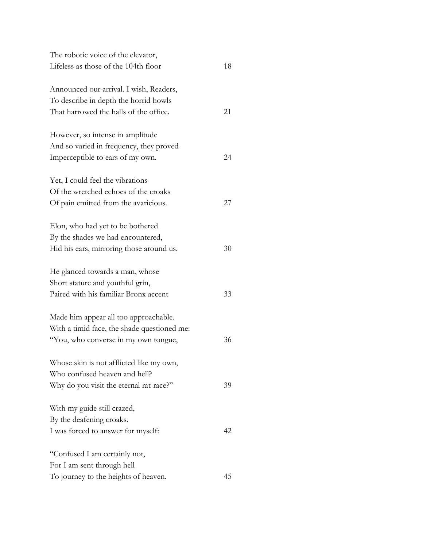| The robotic voice of the elevator,          |    |
|---------------------------------------------|----|
| Lifeless as those of the 104th floor        | 18 |
| Announced our arrival. I wish, Readers,     |    |
| To describe in depth the horrid howls       |    |
| That harrowed the halls of the office.      | 21 |
| However, so intense in amplitude            |    |
| And so varied in frequency, they proved     |    |
| Imperceptible to ears of my own.            | 24 |
| Yet, I could feel the vibrations            |    |
| Of the wretched echoes of the croaks        |    |
| Of pain emitted from the avaricious.        | 27 |
| Elon, who had yet to be bothered            |    |
| By the shades we had encountered,           |    |
| Hid his ears, mirroring those around us.    | 30 |
| He glanced towards a man, whose             |    |
| Short stature and youthful grin,            |    |
| Paired with his familiar Bronx accent       | 33 |
| Made him appear all too approachable.       |    |
| With a timid face, the shade questioned me: |    |
| "You, who converse in my own tongue,        | 36 |
| Whose skin is not afflicted like my own,    |    |
| Who confused heaven and hell?               |    |
| Why do you visit the eternal rat-race?"     | 39 |
| With my guide still crazed,                 |    |
| By the deafening croaks.                    |    |
| I was forced to answer for myself:          | 42 |
| "Confused I am certainly not,               |    |
| For I am sent through hell                  |    |
| To journey to the heights of heaven.        | 45 |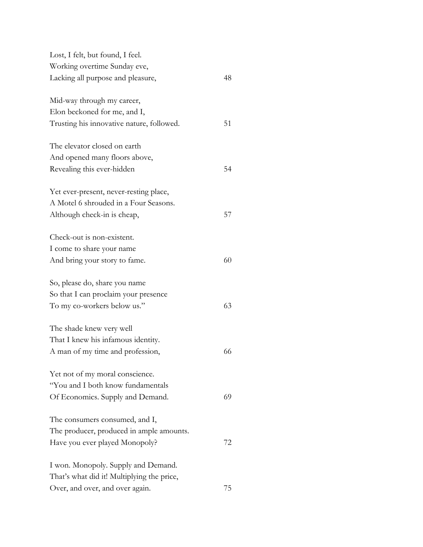| Lost, I felt, but found, I feel.           |    |
|--------------------------------------------|----|
| Working overtime Sunday eve,               |    |
| Lacking all purpose and pleasure,          | 48 |
| Mid-way through my career,                 |    |
| Elon beckoned for me, and I,               |    |
| Trusting his innovative nature, followed.  | 51 |
| The elevator closed on earth               |    |
| And opened many floors above,              |    |
| Revealing this ever-hidden                 | 54 |
| Yet ever-present, never-resting place,     |    |
| A Motel 6 shrouded in a Four Seasons.      |    |
| Although check-in is cheap,                | 57 |
| Check-out is non-existent.                 |    |
| I come to share your name                  |    |
| And bring your story to fame.              | 60 |
| So, please do, share you name              |    |
| So that I can proclaim your presence       |    |
| To my co-workers below us."                | 63 |
| The shade knew very well                   |    |
| That I knew his infamous identity.         |    |
| A man of my time and profession,           | 66 |
| Yet not of my moral conscience.            |    |
| "You and I both know fundamentals          |    |
| Of Economics. Supply and Demand.           | 69 |
| The consumers consumed, and I,             |    |
| The producer, produced in ample amounts.   |    |
| Have you ever played Monopoly?             | 72 |
| I won. Monopoly. Supply and Demand.        |    |
| That's what did it! Multiplying the price, |    |
| Over, and over, and over again.            | 75 |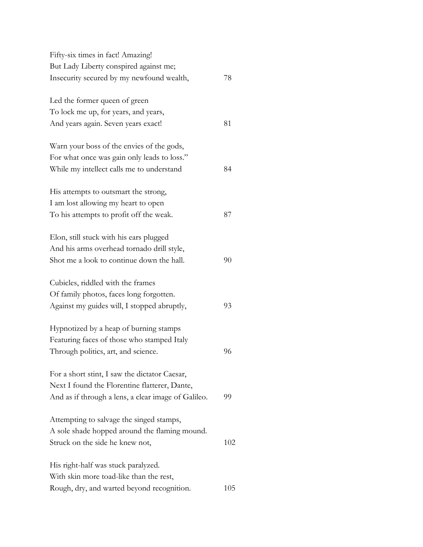| Fifty-six times in fact! Amazing!                   |     |
|-----------------------------------------------------|-----|
| But Lady Liberty conspired against me;              |     |
| Insecurity secured by my newfound wealth,           | 78  |
| Led the former queen of green                       |     |
| To lock me up, for years, and years,                |     |
| And years again. Seven years exact!                 | 81  |
| Warn your boss of the envies of the gods,           |     |
| For what once was gain only leads to loss."         |     |
| While my intellect calls me to understand           | 84  |
| His attempts to outsmart the strong,                |     |
| I am lost allowing my heart to open                 |     |
| To his attempts to profit off the weak.             | 87  |
| Elon, still stuck with his ears plugged             |     |
| And his arms overhead tornado drill style,          |     |
| Shot me a look to continue down the hall.           | 90  |
| Cubicles, riddled with the frames                   |     |
| Of family photos, faces long forgotten.             |     |
| Against my guides will, I stopped abruptly,         | 93  |
| Hypnotized by a heap of burning stamps              |     |
| Featuring faces of those who stamped Italy          |     |
| Through politics, art, and science.                 | 96  |
| For a short stint, I saw the dictator Caesar,       |     |
| Next I found the Florentine flatterer, Dante,       |     |
| And as if through a lens, a clear image of Galileo. | 99  |
| Attempting to salvage the singed stamps,            |     |
| A sole shade hopped around the flaming mound.       |     |
| Struck on the side he knew not,                     | 102 |
| His right-half was stuck paralyzed.                 |     |
| With skin more toad-like than the rest,             |     |
| Rough, dry, and warted beyond recognition.          | 105 |
|                                                     |     |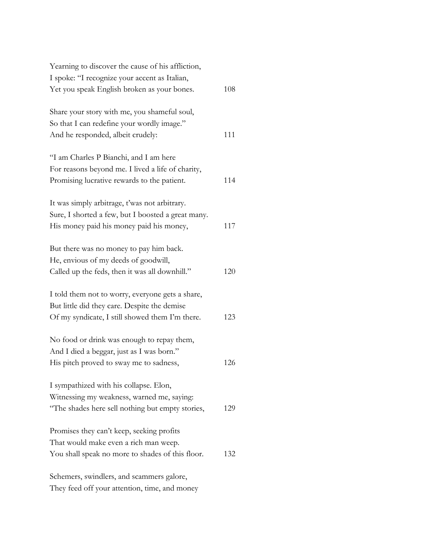| Yearning to discover the cause of his affliction,  |     |
|----------------------------------------------------|-----|
| I spoke: "I recognize your accent as Italian,      |     |
| Yet you speak English broken as your bones.        | 108 |
|                                                    |     |
| Share your story with me, you shameful soul,       |     |
| So that I can redefine your wordly image."         |     |
| And he responded, albeit crudely:                  | 111 |
| "I am Charles P Bianchi, and I am here             |     |
| For reasons beyond me. I lived a life of charity,  |     |
| Promising lucrative rewards to the patient.        | 114 |
|                                                    |     |
| It was simply arbitrage, t'was not arbitrary.      |     |
| Sure, I shorted a few, but I boosted a great many. |     |
| His money paid his money paid his money,           | 117 |
| But there was no money to pay him back.            |     |
| He, envious of my deeds of goodwill,               |     |
| Called up the feds, then it was all downhill."     | 120 |
| I told them not to worry, everyone gets a share,   |     |
| But little did they care. Despite the demise       |     |
| Of my syndicate, I still showed them I'm there.    | 123 |
|                                                    |     |
| No food or drink was enough to repay them,         |     |
| And I died a beggar, just as I was born."          |     |
| His pitch proved to sway me to sadness,            | 126 |
| I sympathized with his collapse. Elon,             |     |
| Witnessing my weakness, warned me, saying:         |     |
| "The shades here sell nothing but empty stories,   | 129 |
|                                                    |     |
| Promises they can't keep, seeking profits          |     |
| That would make even a rich man weep.              |     |
| You shall speak no more to shades of this floor.   | 132 |
| Schemers, swindlers, and scammers galore,          |     |

They feed off your attention, time, and money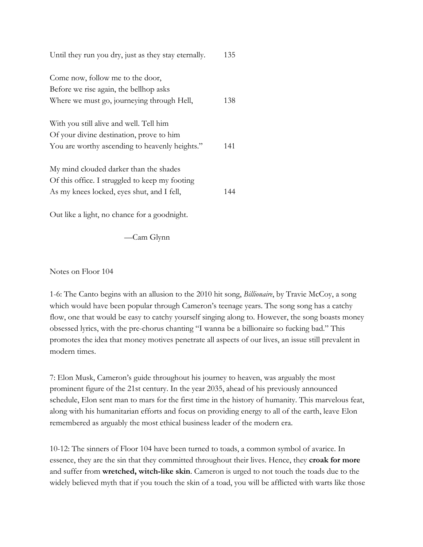| Until they run you dry, just as they stay eternally.                                     | 135 |
|------------------------------------------------------------------------------------------|-----|
| Come now, follow me to the door,<br>Before we rise again, the bellhop asks               |     |
| Where we must go, journeying through Hell,                                               | 138 |
| With you still alive and well. Tell him<br>Of your divine destination, prove to him      |     |
| You are worthy ascending to heavenly heights."                                           | 141 |
| My mind clouded darker than the shades<br>Of this office. I struggled to keep my footing |     |
| As my knees locked, eyes shut, and I fell,                                               | 144 |

Out like a light, no chance for a goodnight.

—Cam Glynn

Notes on Floor 104

1-6: The Canto begins with an allusion to the 2010 hit song, *Billionaire*, by Travie McCoy, a song which would have been popular through Cameron's teenage years. The song song has a catchy flow, one that would be easy to catchy yourself singing along to. However, the song boasts money obsessed lyrics, with the pre-chorus chanting "I wanna be a billionaire so fucking bad." This promotes the idea that money motives penetrate all aspects of our lives, an issue still prevalent in modern times.

7: Elon Musk, Cameron's guide throughout his journey to heaven, was arguably the most prominent figure of the 21st century. In the year 2035, ahead of his previously announced schedule, Elon sent man to mars for the first time in the history of humanity. This marvelous feat, along with his humanitarian efforts and focus on providing energy to all of the earth, leave Elon remembered as arguably the most ethical business leader of the modern era.

10-12: The sinners of Floor 104 have been turned to toads, a common symbol of avarice. In essence, they are the sin that they committed throughout their lives. Hence, they **croak for more** and suffer from **wretched, witch-like skin**. Cameron is urged to not touch the toads due to the widely believed myth that if you touch the skin of a toad, you will be afflicted with warts like those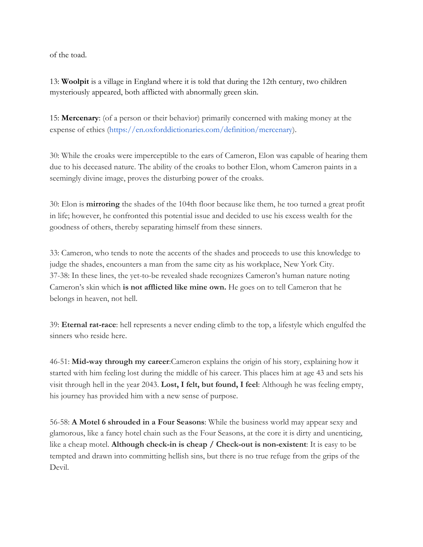of the toad.

13: **Woolpit** is a village in England where it is told that during the 12th century, two children mysteriously appeared, both afflicted with abnormally green skin.

15: **Mercenary**: (of a person or their behavior) primarily concerned with making money at the expense of ethics (https://en.oxforddictionaries.com/definition/mercenary).

30: While the croaks were imperceptible to the ears of Cameron, Elon was capable of hearing them due to his deceased nature. The ability of the croaks to bother Elon, whom Cameron paints in a seemingly divine image, proves the disturbing power of the croaks.

30: Elon is **mirroring** the shades of the 104th floor because like them, he too turned a great profit in life; however, he confronted this potential issue and decided to use his excess wealth for the goodness of others, thereby separating himself from these sinners.

33: Cameron, who tends to note the accents of the shades and proceeds to use this knowledge to judge the shades, encounters a man from the same city as his workplace, New York City. 37-38: In these lines, the yet-to-be revealed shade recognizes Cameron's human nature noting Cameron's skin which **is not afflicted like mine own.** He goes on to tell Cameron that he belongs in heaven, not hell.

39: **Eternal rat-race**: hell represents a never ending climb to the top, a lifestyle which engulfed the sinners who reside here.

46-51: **Mid-way through my career**:Cameron explains the origin of his story, explaining how it started with him feeling lost during the middle of his career. This places him at age 43 and sets his visit through hell in the year 2043. **Lost, I felt, but found, I feel**: Although he was feeling empty, his journey has provided him with a new sense of purpose.

56-58: **A Motel 6 shrouded in a Four Seasons**: While the business world may appear sexy and glamorous, like a fancy hotel chain such as the Four Seasons, at the core it is dirty and unenticing, like a cheap motel. **Although check-in is cheap / Check-out is non-existent**: It is easy to be tempted and drawn into committing hellish sins, but there is no true refuge from the grips of the Devil.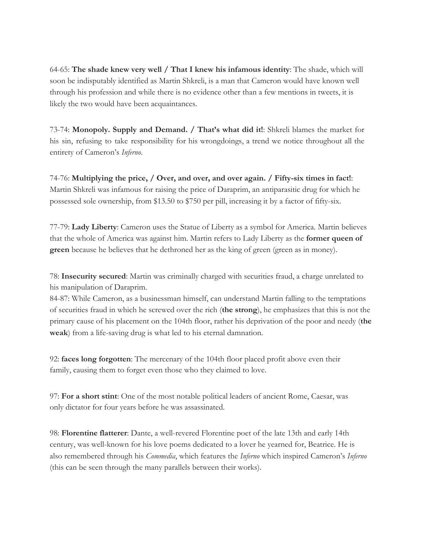64-65: **The shade knew very well / That I knew his infamous identity**: The shade, which will soon be indisputably identified as Martin Shkreli, is a man that Cameron would have known well through his profession and while there is no evidence other than a few mentions in tweets, it is likely the two would have been acquaintances.

73-74: **Monopoly. Supply and Demand. / That's what did it!**: Shkreli blames the market for his sin, refusing to take responsibility for his wrongdoings, a trend we notice throughout all the entirety of Cameron's *Inferno*.

74-76: **Multiplying the price, / Over, and over, and over again. / Fifty-six times in fact!**: Martin Shkreli was infamous for raising the price of Daraprim, an antiparasitic drug for which he possessed sole ownership, from \$13.50 to \$750 per pill, increasing it by a factor of fifty-six.

77-79: **Lady Liberty**: Cameron uses the Statue of Liberty as a symbol for America. Martin believes that the whole of America was against him. Martin refers to Lady Liberty as the **former queen of green** because he believes that he dethroned her as the king of green (green as in money).

78: **Insecurity secured**: Martin was criminally charged with securities fraud, a charge unrelated to his manipulation of Daraprim.

84-87: While Cameron, as a businessman himself, can understand Martin falling to the temptations of securities fraud in which he screwed over the rich (**the strong**), he emphasizes that this is not the primary cause of his placement on the 104th floor, rather his deprivation of the poor and needy (**the weak**) from a life-saving drug is what led to his eternal damnation.

92: **faces long forgotten**: The mercenary of the 104th floor placed profit above even their family, causing them to forget even those who they claimed to love.

97: **For a short stint**: One of the most notable political leaders of ancient Rome, Caesar, was only dictator for four years before he was assassinated.

98: **Florentine flatterer**: Dante, a well-revered Florentine poet of the late 13th and early 14th century, was well-known for his love poems dedicated to a lover he yearned for, Beatrice. He is also remembered through his *Commedia*, which features the *Inferno* which inspired Cameron's *Inferno* (this can be seen through the many parallels between their works).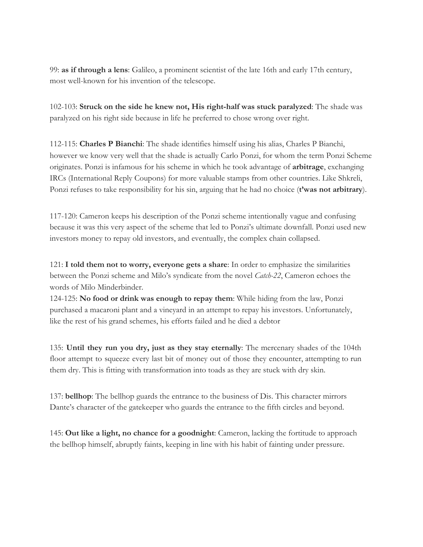99: **as if through a lens**: Galileo, a prominent scientist of the late 16th and early 17th century, most well-known for his invention of the telescope.

102-103: **Struck on the side he knew not, His right-half was stuck paralyzed**: The shade was paralyzed on his right side because in life he preferred to chose wrong over right.

112-115: **Charles P Bianchi**: The shade identifies himself using his alias, Charles P Bianchi, however we know very well that the shade is actually Carlo Ponzi, for whom the term Ponzi Scheme originates. Ponzi is infamous for his scheme in which he took advantage of **arbitrage**, exchanging IRCs (International Reply Coupons) for more valuable stamps from other countries. Like Shkreli, Ponzi refuses to take responsibility for his sin, arguing that he had no choice (**t'was not arbitrary**).

117-120: Cameron keeps his description of the Ponzi scheme intentionally vague and confusing because it was this very aspect of the scheme that led to Ponzi's ultimate downfall. Ponzi used new investors money to repay old investors, and eventually, the complex chain collapsed.

121: **I told them not to worry, everyone gets a share**: In order to emphasize the similarities between the Ponzi scheme and Milo's syndicate from the novel *Catch-22*, Cameron echoes the words of Milo Minderbinder.

124-125: **No food or drink was enough to repay them**: While hiding from the law, Ponzi purchased a macaroni plant and a vineyard in an attempt to repay his investors. Unfortunately, like the rest of his grand schemes, his efforts failed and he died a debtor

135: **Until they run you dry, just as they stay eternally**: The mercenary shades of the 104th floor attempt to squeeze every last bit of money out of those they encounter, attempting to run them dry. This is fitting with transformation into toads as they are stuck with dry skin.

137: **bellhop**: The bellhop guards the entrance to the business of Dis. This character mirrors Dante's character of the gatekeeper who guards the entrance to the fifth circles and beyond.

145: **Out like a light, no chance for a goodnight**: Cameron, lacking the fortitude to approach the bellhop himself, abruptly faints, keeping in line with his habit of fainting under pressure.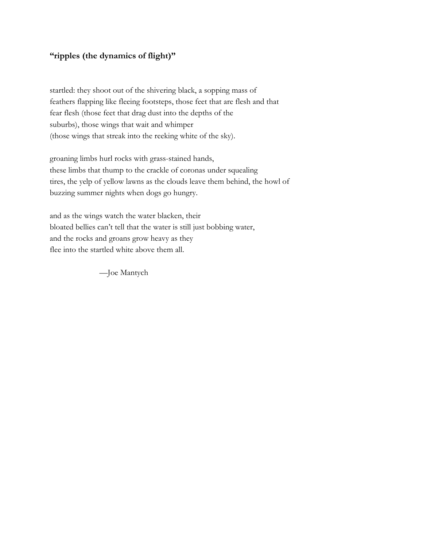# **"ripples (the dynamics of flight)"**

startled: they shoot out of the shivering black, a sopping mass of feathers flapping like fleeing footsteps, those feet that are flesh and that fear flesh (those feet that drag dust into the depths of the suburbs), those wings that wait and whimper (those wings that streak into the reeking white of the sky).

groaning limbs hurl rocks with grass-stained hands, these limbs that thump to the crackle of coronas under squealing tires, the yelp of yellow lawns as the clouds leave them behind, the howl of buzzing summer nights when dogs go hungry.

and as the wings watch the water blacken, their bloated bellies can't tell that the water is still just bobbing water, and the rocks and groans grow heavy as they flee into the startled white above them all.

—Joe Mantych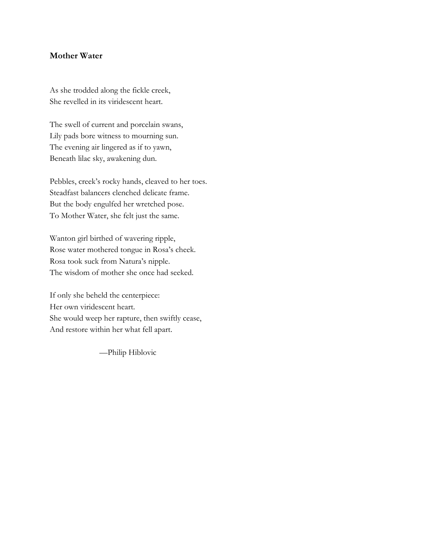#### **Mother Water**

As she trodded along the fickle creek, She revelled in its viridescent heart.

The swell of current and porcelain swans, Lily pads bore witness to mourning sun. The evening air lingered as if to yawn, Beneath lilac sky, awakening dun.

Pebbles, creek's rocky hands, cleaved to her toes. Steadfast balancers clenched delicate frame. But the body engulfed her wretched pose. To Mother Water, she felt just the same.

Wanton girl birthed of wavering ripple, Rose water mothered tongue in Rosa's cheek. Rosa took suck from Natura's nipple. The wisdom of mother she once had seeked.

If only she beheld the centerpiece: Her own viridescent heart. She would weep her rapture, then swiftly cease, And restore within her what fell apart.

—Philip Hiblovic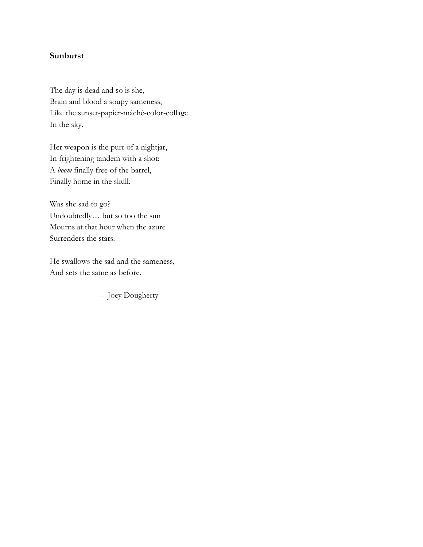# **Sunburst**

The day is dead and so is she, Brain and blood a soupy sameness, Like the sunset-papier-mâché-color-collage In the sky.

Her weapon is the purr of a nightjar, In frightening tandem with a shot: A *boom* finally free of the barrel, Finally home in the skull.

Was she sad to go? Undoubtedly… but so too the sun Mourns at that hour when the azure Surrenders the stars.

He swallows the sad and the sameness, And sets the same as before.

—Joey Dougherty